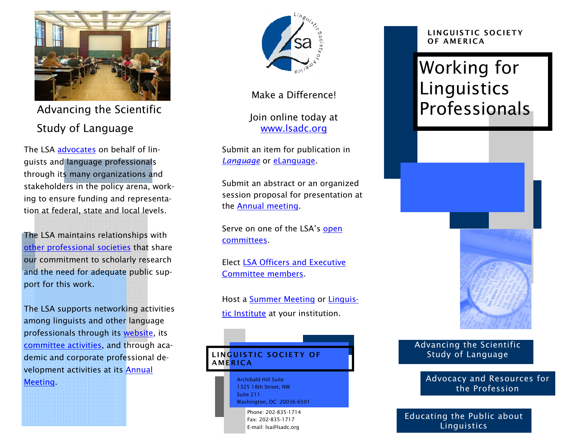

Advancing the Scientific Study of Language

The LSA advocates on behalf of linguists and language professionals through its many organizations and stakeholders in the policy arena, working to ensure funding and representation at federal, state and local levels.

The LSA maintains relationships with other professional societies that share our commitment to scholarly research and the need for adequate public support for this work.

The LSA supports networking activities among linguists and other language professionals through its website, its committee activities, and through academic and corporate professional development activities at its Annual Meeting.



Make a Difference!

Join online today at www.lsadc.org

Submit an item for publication in *Language* or eLanguage.

Submit an abstract or an organized session proposal for presentation at the Annual meeting.

Serve on one of the LSA's open committees.

Elect LSA Officers and Executive Committee members.

Host a Summer Meeting or Linguistic Institute at your institution.

## LINGUISTIC SOCIETY OF **AMERICA**

Archibald Hill Suite 1325 18th Street, NW Suite 211 Washington, DC 20036-6501

Phone: 202-835-1714 Fax: 202-835-1717 E-mail: lsa@lsadc.org

#### LINGUISTIC SOCIETY OF AMERICA

# Working for Linguistics Professionals



### Advancing the Scientific Study of Language

Advocacy and Resources for the Profession

Educating the Public about Linguistics